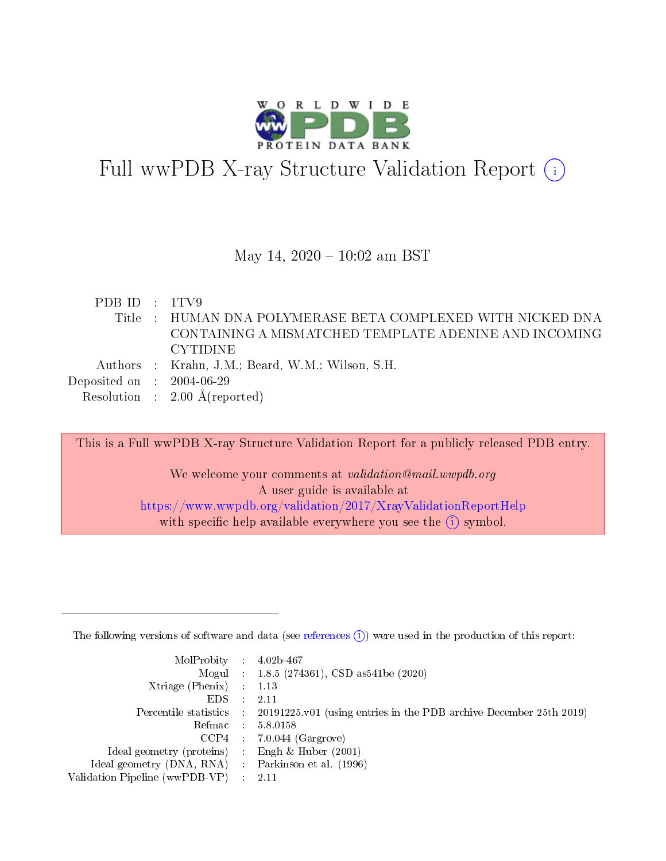

# Full wwPDB X-ray Structure Validation Report  $(i)$

#### May 14,  $2020 - 10:02$  am BST

PDB ID : 1TV9 Title : HUMAN DNA POLYMERASE BETA COMPLEXED WITH NICKED DNA CONTAINING A MISMATCHED TEMPLATE ADENINE AND INCOMING CYTIDINE Authors : Krahn, J.M.; Beard, W.M.; Wilson, S.H. Deposited on : 2004-06-29 Resolution : 2.00 Å(reported)

This is a Full wwPDB X-ray Structure Validation Report for a publicly released PDB entry.

We welcome your comments at validation@mail.wwpdb.org A user guide is available at <https://www.wwpdb.org/validation/2017/XrayValidationReportHelp> with specific help available everywhere you see the  $(i)$  symbol.

The following versions of software and data (see [references](https://www.wwpdb.org/validation/2017/XrayValidationReportHelp#references)  $(1)$ ) were used in the production of this report:

| MolProbity : $4.02b-467$                           |                                                                                            |
|----------------------------------------------------|--------------------------------------------------------------------------------------------|
|                                                    | Mogul : $1.8.5$ (274361), CSD as 541be (2020)                                              |
| $Xtriangle (Phenix)$ : 1.13                        |                                                                                            |
| $EDS$ :                                            | -2.11                                                                                      |
|                                                    | Percentile statistics : 20191225.v01 (using entries in the PDB archive December 25th 2019) |
|                                                    | Refmac $5.8.0158$                                                                          |
|                                                    | $CCP4$ 7.0.044 (Gargrove)                                                                  |
| Ideal geometry (proteins) : Engh $\&$ Huber (2001) |                                                                                            |
| Ideal geometry (DNA, RNA) Parkinson et al. (1996)  |                                                                                            |
| Validation Pipeline (wwPDB-VP) : 2.11              |                                                                                            |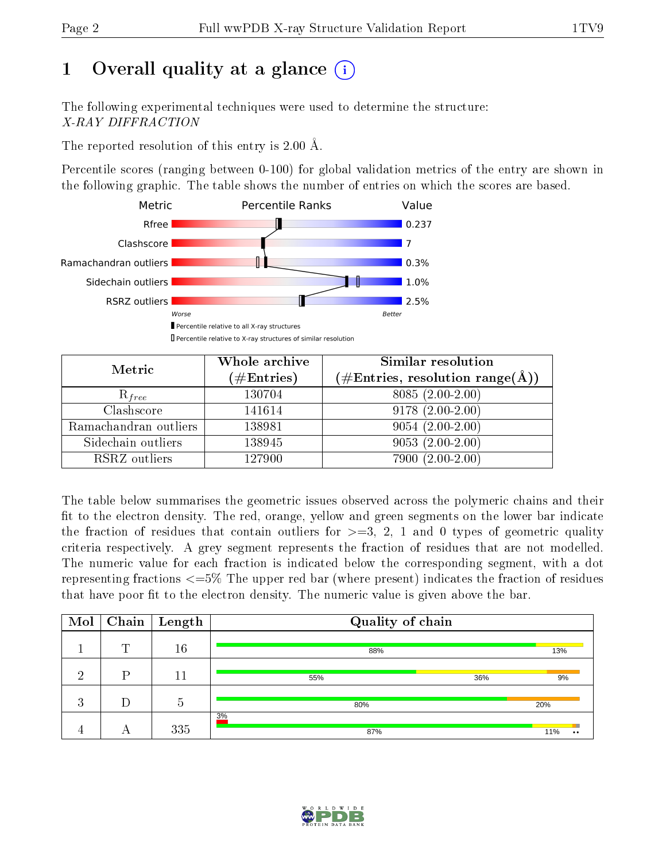# 1 [O](https://www.wwpdb.org/validation/2017/XrayValidationReportHelp#overall_quality)verall quality at a glance  $(i)$

The following experimental techniques were used to determine the structure: X-RAY DIFFRACTION

The reported resolution of this entry is 2.00 Å.

Percentile scores (ranging between 0-100) for global validation metrics of the entry are shown in the following graphic. The table shows the number of entries on which the scores are based.



| Metric                | Whole archive<br>$(\#\text{Entries})$ | Similar resolution<br>$(\#\text{Entries},\,\text{resolution}\,\,\text{range}(\textup{\AA}))$ |
|-----------------------|---------------------------------------|----------------------------------------------------------------------------------------------|
| $R_{free}$            | 130704                                | 8085 (2.00-2.00)                                                                             |
| Clashscore            | 141614                                | $9178(2.00-2.00)$                                                                            |
| Ramachandran outliers | 138981                                | $9054(2.00-2.00)$                                                                            |
| Sidechain outliers    | 138945                                | $9053(2.00-2.00)$                                                                            |
| RSRZ outliers         | 127900                                | $7900(2.00-2.00)$                                                                            |

The table below summarises the geometric issues observed across the polymeric chains and their fit to the electron density. The red, orange, yellow and green segments on the lower bar indicate the fraction of residues that contain outliers for  $>=3, 2, 1$  and 0 types of geometric quality criteria respectively. A grey segment represents the fraction of residues that are not modelled. The numeric value for each fraction is indicated below the corresponding segment, with a dot representing fractions  $\epsilon=5\%$  The upper red bar (where present) indicates the fraction of residues that have poor fit to the electron density. The numeric value is given above the bar.

| Mol       | Chain | $\vert$ Length   | Quality of chain |                  |
|-----------|-------|------------------|------------------|------------------|
|           | m     | 16               | 88%              | 13%              |
| ച         | D     | 11               | 55%<br>36%       | 9%               |
| റ<br>-e J | D     | $\tilde{}$<br>b. | 80%              | 20%              |
|           |       | 335              | 3%<br>87%        | 11%<br>$\bullet$ |

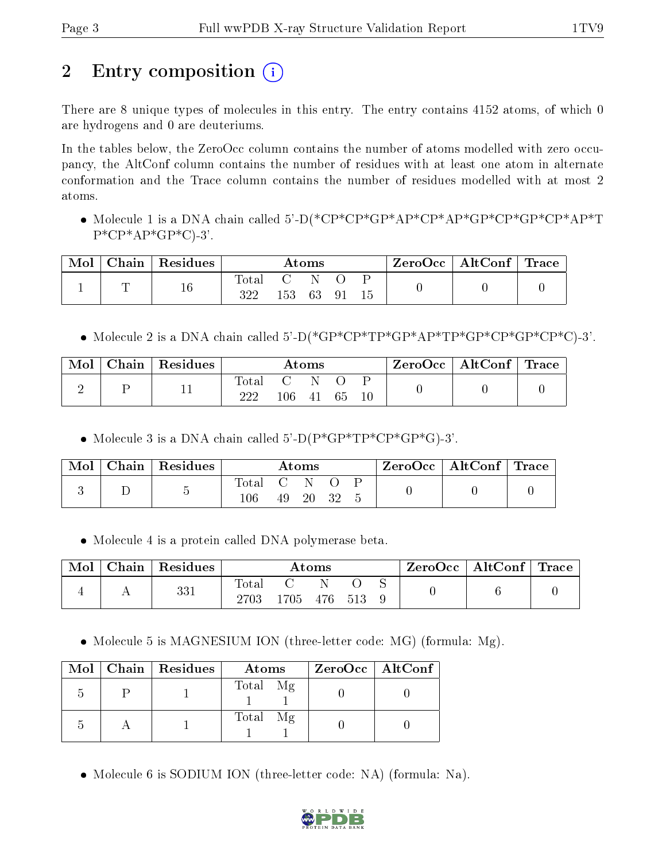# 2 Entry composition  $\left( \cdot \right)$

There are 8 unique types of molecules in this entry. The entry contains 4152 atoms, of which 0 are hydrogens and 0 are deuteriums.

In the tables below, the ZeroOcc column contains the number of atoms modelled with zero occupancy, the AltConf column contains the number of residues with at least one atom in alternate conformation and the Trace column contains the number of residues modelled with at most 2 atoms.

 Molecule 1 is a DNA chain called 5'-D(\*CP\*CP\*GP\*AP\*CP\*AP\*GP\*CP\*GP\*CP\*AP\*T  $P^*CP^*AP^*GP^*C$ -3'.

| Mol | $Chain   Residues$ | $\rm{Atoms}$            |        |        | $\text{ZeroOcc} \mid \text{AltConf} \mid \text{Trace} \mid$ |  |  |  |
|-----|--------------------|-------------------------|--------|--------|-------------------------------------------------------------|--|--|--|
|     | $16\,$             | $\mathrm{Total}$<br>322 | $\sim$ | 153 63 | -91                                                         |  |  |  |

• Molecule 2 is a DNA chain called  $5'-D$ (\* $GP*CP*TP*GP*AP*TP*GP*CP*CP*CP*CP*C$ )-3'.

| Mol | Chain   Residues | Atoms        |                         |            | ZeroOcc   AltConf   Trace |  |  |  |
|-----|------------------|--------------|-------------------------|------------|---------------------------|--|--|--|
|     |                  | Total<br>າາາ | $\mathbf{C}$<br>$106\,$ | - N<br>-41 | 65                        |  |  |  |

• Molecule 3 is a DNA chain called  $5^{\circ}$ -D(P\*GP\*TP\*CP\*GP\*G)-3'.

| Mol | $\mid$ Chain $\mid$ Residues | $\rm{Atoms}$ |                                                |    | $\text{ZeroOcc} \mid \text{AltConf} \mid \text{Trace}$ |  |  |  |
|-----|------------------------------|--------------|------------------------------------------------|----|--------------------------------------------------------|--|--|--|
|     |                              | Total<br>106 | $\mathcal{L}$ . The set of $\mathcal{L}$<br>49 | 20 |                                                        |  |  |  |

Molecule 4 is a protein called DNA polymerase beta.

| Mol | Chain | Residues | $\rm{Atoms}$      |      |     | ZeroOcc | $\mid$ AltConf $\mid$ Trace |  |  |  |
|-----|-------|----------|-------------------|------|-----|---------|-----------------------------|--|--|--|
|     |       | 331      | Total<br>$2703\,$ | .705 | 476 | 513     |                             |  |  |  |

• Molecule 5 is MAGNESIUM ION (three-letter code: MG) (formula: Mg).

|  | Mol   Chain   Residues | Atoms    | $ZeroOcc \   \$ AltConf |
|--|------------------------|----------|-------------------------|
|  |                        | Total Mg |                         |
|  |                        | Total Mg |                         |

Molecule 6 is SODIUM ION (three-letter code: NA) (formula: Na).

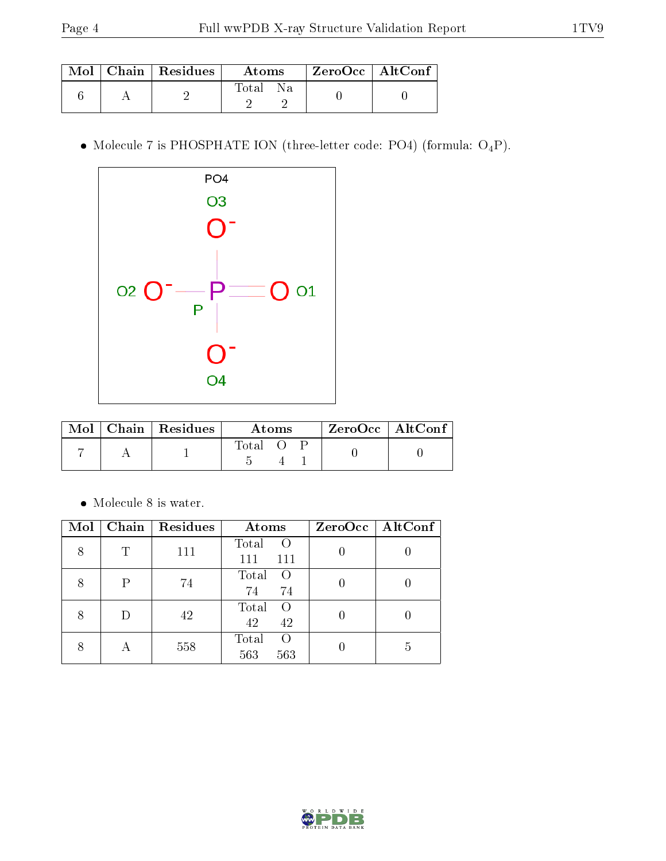|  | Mol   Chain   Residues | Atoms        | ZeroOcc   AltConf |  |
|--|------------------------|--------------|-------------------|--|
|  |                        | l'otal<br>Nа |                   |  |

 $\bullet$  Molecule 7 is PHOSPHATE ION (three-letter code: PO4) (formula:  $\mathrm{O_4P}) .$ 



|  | $Mol$   Chain   Residues | Atoms |  |  | $ZeroOcc$   AltConf |  |
|--|--------------------------|-------|--|--|---------------------|--|
|  |                          | Total |  |  |                     |  |

 $\bullet\,$  Molecule 8 is water.

| Mol |   | Chain   Residues | Atoms                                   | $ZeroOcc \   \$ AltConf |
|-----|---|------------------|-----------------------------------------|-------------------------|
| 8   | Τ | 111              | Total<br>$\left($<br>111<br>111         |                         |
|     | Р | 74               | Total<br>$\left($<br>74<br>74           |                         |
|     | D | 42               | Total<br>$\left($<br>42<br>42           |                         |
|     |   | 558              | Total<br>$\left( \right)$<br>563<br>563 | 5                       |

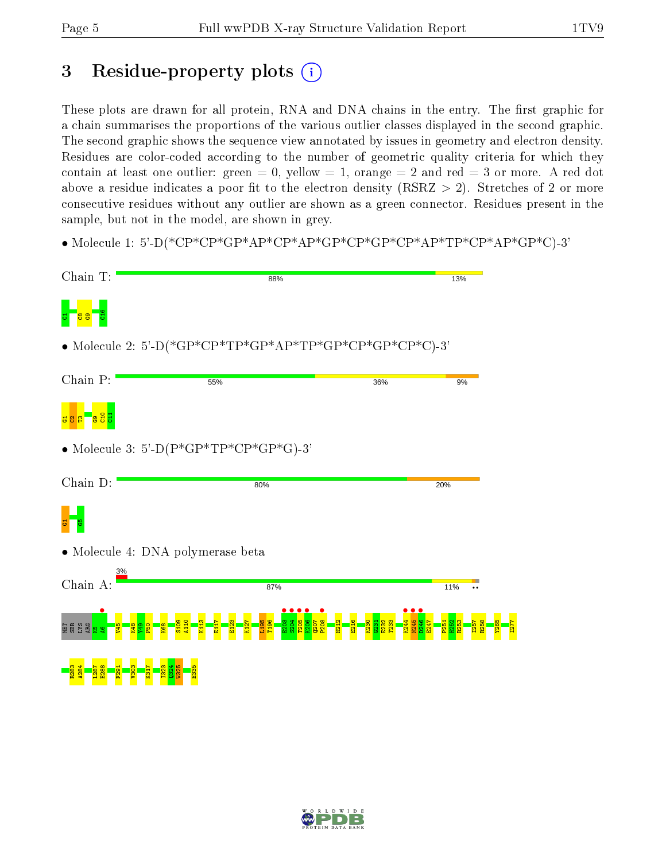## 3 Residue-property plots  $(i)$

These plots are drawn for all protein, RNA and DNA chains in the entry. The first graphic for a chain summarises the proportions of the various outlier classes displayed in the second graphic. The second graphic shows the sequence view annotated by issues in geometry and electron density. Residues are color-coded according to the number of geometric quality criteria for which they contain at least one outlier: green  $= 0$ , yellow  $= 1$ , orange  $= 2$  and red  $= 3$  or more. A red dot above a residue indicates a poor fit to the electron density (RSRZ  $> 2$ ). Stretches of 2 or more consecutive residues without any outlier are shown as a green connector. Residues present in the sample, but not in the model, are shown in grey.

• Molecule 1: 5'-D(\*CP\*CP\*GP\*AP\*CP\*AP\*GP\*CP\*GP\*CP\*AP\*TP\*CP\*AP\*GP\*C)-3'



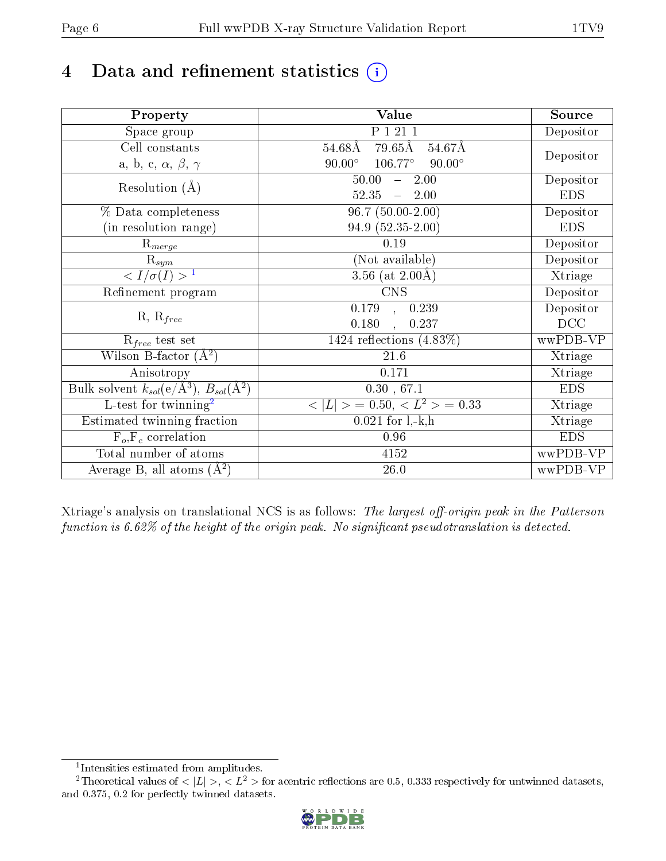# 4 Data and refinement statistics  $(i)$

| Property                                                             | <b>Value</b>                              | Source     |
|----------------------------------------------------------------------|-------------------------------------------|------------|
| Space group                                                          | P 1 21 1                                  | Depositor  |
| Cell constants                                                       | 79.65Å<br>54.67Å<br>$54.68\text{\AA}$     |            |
| a, b, c, $\alpha$ , $\beta$ , $\gamma$                               | $90.00^\circ$<br>106.77°<br>$90.00^\circ$ | Depositor  |
| Resolution $(A)$                                                     | 50.00<br>2.00<br>$\frac{1}{2}$            | Depositor  |
|                                                                      | 52.35<br>2.00<br>$\frac{1}{2}$            | <b>EDS</b> |
| % Data completeness                                                  | $96.7(50.00-2.00)$                        | Depositor  |
| (in resolution range)                                                | 94.9 (52.35-2.00)                         | <b>EDS</b> |
| $R_{merge}$                                                          | 0.19                                      | Depositor  |
| $\mathrm{R}_{sym}$                                                   | (Not available)                           | Depositor  |
| $\langle I/\sigma(I) \rangle^{-1}$                                   | 3.56 (at $2.00\text{\AA}$ )               | Xtriage    |
| Refinement program                                                   | $\overline{\text{CNS}}$                   | Depositor  |
| $R, R_{free}$                                                        | 0.179<br>0.239<br>$\ddot{\phantom{a}}$    | Depositor  |
|                                                                      | 0.180<br>0.237                            | DCC        |
| $R_{free}$ test set                                                  | 1424 reflections $(4.83\%)$               | wwPDB-VP   |
| Wilson B-factor $(A^2)$                                              | 21.6                                      | Xtriage    |
| Anisotropy                                                           | 0.171                                     | Xtriage    |
| Bulk solvent $k_{sol}(e/\mathring{A}^3)$ , $B_{sol}(\mathring{A}^2)$ | 0.30, 67.1                                | <b>EDS</b> |
| $\overline{L-test for }$ twinning <sup>2</sup>                       | $>$ = 0.50, < $L^2$ > = 0.33<br>< L       | Xtriage    |
| Estimated twinning fraction                                          | $0.021$ for $1, -k, h$                    | Xtriage    |
| $F_o, F_c$ correlation                                               | 0.96                                      | <b>EDS</b> |
| Total number of atoms                                                | 4152                                      | wwPDB-VP   |
| Average B, all atoms $(A^2)$                                         | $26.0\,$                                  | wwPDB-VP   |

Xtriage's analysis on translational NCS is as follows: The largest off-origin peak in the Patterson function is  $6.62\%$  of the height of the origin peak. No significant pseudotranslation is detected.

<sup>&</sup>lt;sup>2</sup>Theoretical values of  $\langle |L| \rangle$ ,  $\langle L^2 \rangle$  for acentric reflections are 0.5, 0.333 respectively for untwinned datasets, and 0.375, 0.2 for perfectly twinned datasets.



<span id="page-5-1"></span><span id="page-5-0"></span><sup>1</sup> Intensities estimated from amplitudes.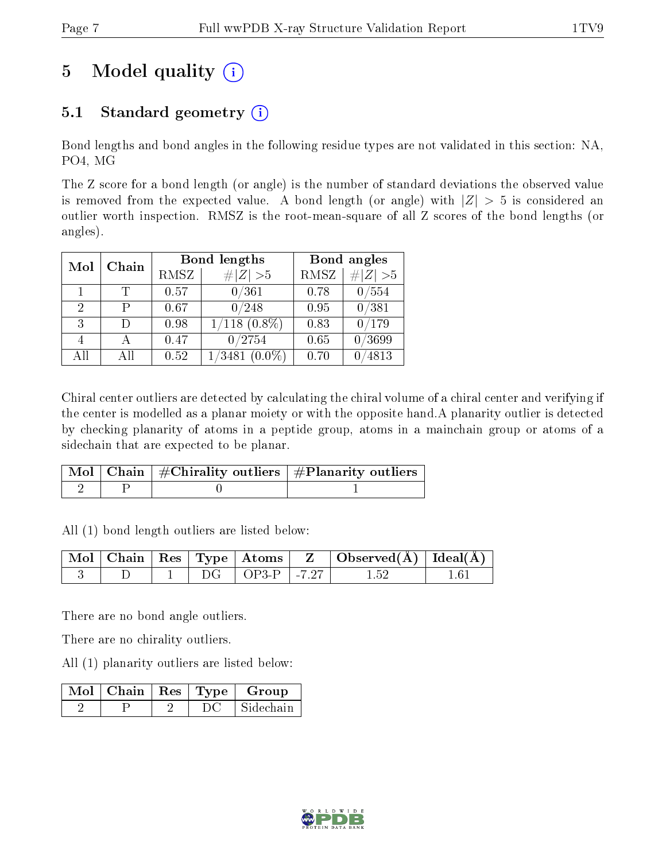# 5 Model quality  $(i)$

### 5.1 Standard geometry  $(i)$

Bond lengths and bond angles in the following residue types are not validated in this section: NA, PO4, MG

The Z score for a bond length (or angle) is the number of standard deviations the observed value is removed from the expected value. A bond length (or angle) with  $|Z| > 5$  is considered an outlier worth inspection. RMSZ is the root-mean-square of all Z scores of the bond lengths (or angles).

| Mol | Chain |      | <b>Bond lengths</b> |             | Bond angles |
|-----|-------|------|---------------------|-------------|-------------|
|     |       | RMSZ | # $ Z >5$           | <b>RMSZ</b> | $\# Z  > 5$ |
|     |       | 0.57 | 0/361               | 0.78        | 0/554       |
| 2   | р     | 0.67 | 0/248               | 0.95        | 0/381       |
| 3   | Ð     | 0.98 | $1/118$ $(0.8\%)$   | 0.83        | 0/179       |
|     |       | 0.47 | 0/2754              | 0.65        | 0/3699      |
| AĦ  | Αll   | 0.52 | 1/3481<br>$(0.0\%)$ | 0.70        | 4813        |

Chiral center outliers are detected by calculating the chiral volume of a chiral center and verifying if the center is modelled as a planar moiety or with the opposite hand.A planarity outlier is detected by checking planarity of atoms in a peptide group, atoms in a mainchain group or atoms of a sidechain that are expected to be planar.

|  | $\mid$ Mol $\mid$ Chain $\mid$ #Chirality outliers $\mid$ #Planarity outliers $'$ |
|--|-----------------------------------------------------------------------------------|
|  |                                                                                   |

All (1) bond length outliers are listed below:

|  |  |                             | $\mid$ Mol $\mid$ Chain $\mid$ Res $\mid$ Type $\mid$ Atoms $\mid$ Z $\mid$ Observed(A) $\mid$ Ideal(A) |                 |
|--|--|-----------------------------|---------------------------------------------------------------------------------------------------------|-----------------|
|  |  | $\perp$ OP3-P $\perp$ -7.27 |                                                                                                         | 16 <sup>-</sup> |

There are no bond angle outliers.

There are no chirality outliers.

All (1) planarity outliers are listed below:

|  |  | Mol   Chain   Res   Type   Group |
|--|--|----------------------------------|
|  |  | Sidechain                        |

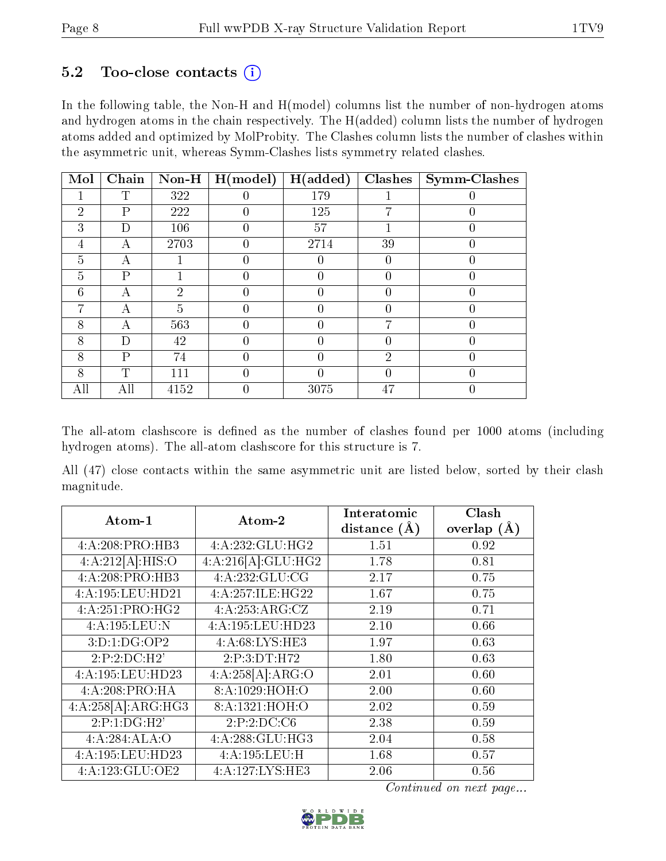#### $5.2$  Too-close contacts  $(i)$

In the following table, the Non-H and H(model) columns list the number of non-hydrogen atoms and hydrogen atoms in the chain respectively. The H(added) column lists the number of hydrogen atoms added and optimized by MolProbity. The Clashes column lists the number of clashes within the asymmetric unit, whereas Symm-Clashes lists symmetry related clashes.

| Mol            | Chain | $\bf Non-H$    | H (model) | H(added) | Clashes          | <b>Symm-Clashes</b> |
|----------------|-------|----------------|-----------|----------|------------------|---------------------|
|                | T     | 322            |           | 179      |                  |                     |
| $\overline{2}$ | P     | 222            | 0         | 125      | 7                |                     |
| 3              | D     | 106            |           | 57       |                  |                     |
| 4              | А     | 2703           |           | 2714     | 39               |                     |
| 5              | А     |                |           |          |                  |                     |
| 5              | P     |                |           | 0        | $\left( \right)$ | 0                   |
| 6              | А     | $\overline{2}$ |           | 0        |                  |                     |
| 7              | А     | 5              |           |          |                  |                     |
| 8              | А     | 563            | 0         | 0        | 7                | 0                   |
| 8              | D     | 42             |           | 0        |                  | 0                   |
| 8              | Ρ     | 74             |           |          | $\overline{2}$   |                     |
| 8              | T     | 111            | 0         |          | 0                |                     |
| All            | All   | 4152           |           | 3075     | 47               |                     |

The all-atom clashscore is defined as the number of clashes found per 1000 atoms (including hydrogen atoms). The all-atom clashscore for this structure is 7.

All (47) close contacts within the same asymmetric unit are listed below, sorted by their clash magnitude.

| Atom-1                      | Atom-2                       | Interatomic<br>distance $(\AA)$ | Clash<br>overlap $(\AA)$ |
|-----------------------------|------------------------------|---------------------------------|--------------------------|
| 4:A:208:PRO:HB3             | 4:A:232:GLU:HG2              | 1.51                            | 0.92                     |
| 4:A:212[A]:HIS:O            | 4:A:216[A]:GLU:HG2           | 1.78                            | 0.81                     |
| 4:A:208:PRO:HB3             | 4:A:232:GLU:CG               | 2.17                            | 0.75                     |
| 4:A:195:LEU:HD21            | 4:A:257:ILE:HG22             | 1.67                            | 0.75                     |
| 4:A:251:PRO:H <sub>G2</sub> | 4:A:253:ARG:CZ               | 2.19                            | 0.71                     |
| 4:A:195:LEU:N               | 4:A:195:LEU:HD23             | 2.10                            | 0.66                     |
| 3:D:1:DG:OP2                | 4:A:68:LYS:HE3               | 1.97                            | 0.63                     |
| 2:P:2:D C:H2'               | 2:P:3:DT:H72                 | 1.80                            | 0.63                     |
| 4:A:195:LEU:HD23            | 4:A:258[A]:ARG:O             | 2.01                            | 0.60                     |
| 4:A:208:PRO:HA              | 8: A:1029:HOH:O              | 2.00                            | 0.60                     |
| 4:A:258[A]:ARG:HG3          | 8:A:1321:HOH:O               | 2.02                            | 0.59                     |
| 2:P:1:DG:H2'                | 2:P:2:DC:C6                  | 2.38                            | 0.59                     |
| 4:A:284:ALA:O               | $4:A:288:GLU:H\overline{G3}$ | 2.04                            | 0.58                     |
| 4:A:195:LEU:HD23            | 4:A:195:LEU:H                | 1.68                            | 0.57                     |
| 4:A:123:GLU:OE2             | $4:A:127:LYS:H\overline{E3}$ | 2.06                            | 0.56                     |

Continued on next page...

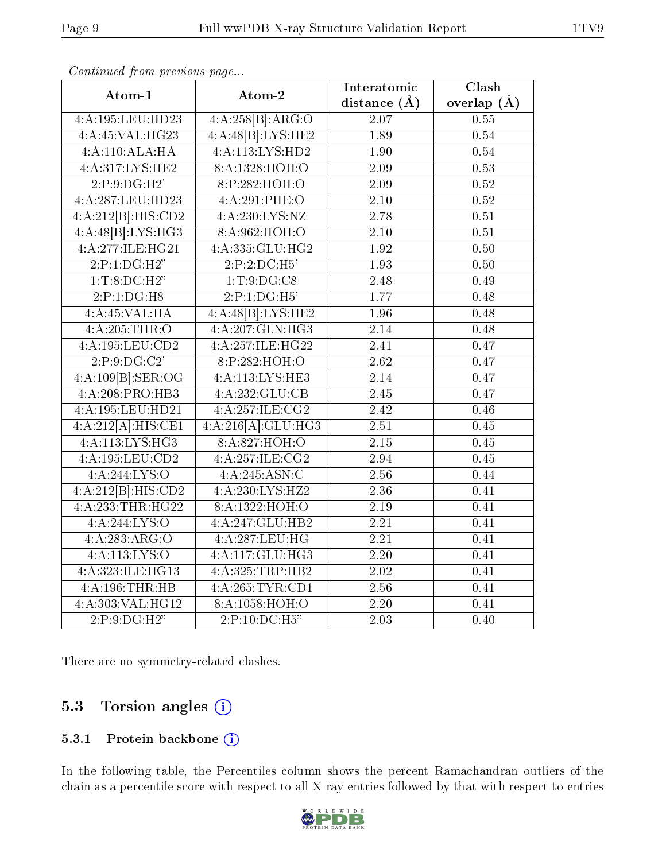| Atom-1             | Atom-2             | Interatomic       | Clash             |
|--------------------|--------------------|-------------------|-------------------|
|                    |                    | distance $(\AA)$  | overlap $(A)$     |
| 4:A:195:LEU:HD23   | 4:A:258[B]:ARG:O   | 2.07              | 0.55              |
| 4:A:45:VAL:HG23    | 4:A:48[B]:LYS:HE2  | 1.89              | 0.54              |
| 4:A:110:ALA:HA     | 4:A:113:LYS:HD2    | 1.90              | 0.54              |
| 4:A:317:LYS:HE2    | 8:A:1328:HOH:O     | 2.09              | 0.53              |
| 2:P:9:DG:H2'       | 8:P:282:HOH:O      | 2.09              | 0.52              |
| 4:A:287:LEU:HD23   | 4:A:291:PHE:O      | 2.10              | 0.52              |
| 4:A:212[B]:HIS:CD2 | 4: A: 230: LYS: NZ | 2.78              | 0.51              |
| 4:A:48[B]:LYS:HG3  | 8:A:962:HOH:O      | 2.10              | 0.51              |
| 4:A:277:ILE:HG21   | 4:A:335:GLU:HG2    | $\overline{1.92}$ | 0.50              |
| 2:P:1:DG:H2"       | 2:P:2:DC:H5'       | 1.93              | 0.50              |
| 1:T:8:DC:H2"       | 1: T: 9: DG: C8    | 2.48              | 0.49              |
| 2:P:1:DG:H8        | 2:P:1:DG:H5'       | 1.77              | 0.48              |
| 4:A:45:VAL:H A     | 4:A:48[B]:LYS:HE2  | 1.96              | $\overline{0.48}$ |
| 4:A:205:THR:O      | 4:A:207:GLN:HG3    | 2.14              | 0.48              |
| 4:A:195:LEU:CD2    | 4:A:257:ILE:HG22   | 2.41              | 0.47              |
| 2:P:9:DG:C2'       | 8:P:282:HOH:O      | 2.62              | 0.47              |
| 4:A:109[B]:SER:OG  | 4:A:113:LYS:HE3    | $\overline{2.14}$ | 0.47              |
| 4:A:208:PRO:HB3    | 4:A:232:GLU:CB     | 2.45              | 0.47              |
| 4:A:195:LEU:HD21   | 4:A:257:ILE:CG2    | $\overline{2}.42$ | 0.46              |
| 4:A:212[A]:HIS:CE1 | 4:A:216[A]:GLU:HG3 | 2.51              | 0.45              |
| 4:A:113:LYS:HG3    | 8: A:827:HOH:O     | $\overline{2.15}$ | 0.45              |
| 4:A:195:LEU:CD2    | 4:A:257:1LE:CG2    | $\overline{2.94}$ | 0.45              |
| 4: A:244: LYS:O    | 4:A:245:ASN:C      | $\overline{2.56}$ | 0.44              |
| 4:A:212[B]:HIS:CD2 | 4:A:230:LYS:HZ2    | 2.36              | 0.41              |
| 4:A:233:THR:HG22   | 8:A:1322:HOH:O     | $2.19\,$          | 0.41              |
| 4: A:244:LYS:O     | 4:A:247:GLU:HB2    | $\overline{2.21}$ | 0.41              |
| 4:A:283:ARG:O      | 4:A:287:LEU:HG     | 2.21              | 0.41              |
| 4:A:113:LYS:O      | 4:A:117:GLU:HG3    | 2.20              | 0.41              |
| 4:A:323:ILE:HG13   | 4:A:325:TRP:HB2    | 2.02              | 0.41              |
| 4:A:196:THR:HB     | 4:A:265:TYR:CD1    | 2.56              | 0.41              |
| 4:A:303:VAL:HG12   | 8:A:1058:HOH:O     | 2.20              | 0.41              |
| 2:P:9:DG:H2"       | 2:P:10:DC:H5"      | 2.03              | 0.40              |

Continued from previous page...

There are no symmetry-related clashes.

### 5.3 Torsion angles (i)

#### 5.3.1 Protein backbone (i)

In the following table, the Percentiles column shows the percent Ramachandran outliers of the chain as a percentile score with respect to all X-ray entries followed by that with respect to entries

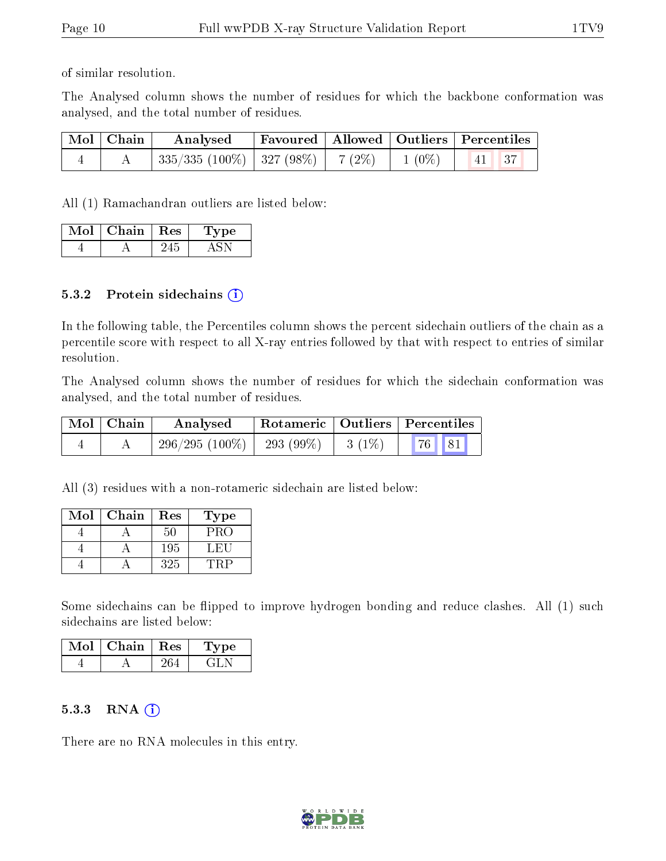of similar resolution.

The Analysed column shows the number of residues for which the backbone conformation was analysed, and the total number of residues.

| $\mid$ Mol $\mid$ Chain $\mid$ | Analysed                                                                         |  | <b>Favoured</b>   Allowed   Outliers   Percentiles |
|--------------------------------|----------------------------------------------------------------------------------|--|----------------------------------------------------|
|                                | $\mid$ 335/335 (100%) $\mid$ 327 (98%) $\mid$ 7 (2%) $\mid$ 1 (0%) $\mid$ $\mid$ |  | $\parallel$ 41 $\parallel$ 37                      |

All (1) Ramachandran outliers are listed below:

| Mol | Chain | $\pm$ Res $^+$ | vpe |
|-----|-------|----------------|-----|
|     |       |                |     |

#### 5.3.2 Protein sidechains  $(i)$

In the following table, the Percentiles column shows the percent sidechain outliers of the chain as a percentile score with respect to all X-ray entries followed by that with respect to entries of similar resolution.

The Analysed column shows the number of residues for which the sidechain conformation was analysed, and the total number of residues.

| $\mid$ Mol $\mid$ Chain | Analysed         |             |          | Rotameric   Outliers   Percentiles |
|-------------------------|------------------|-------------|----------|------------------------------------|
|                         | $296/295(100\%)$ | $-293(99%)$ | $3(1\%)$ | $\vert 76 \vert \vert 81 \vert$    |

All (3) residues with a non-rotameric sidechain are listed below:

| Mol | Chain | Res | Type' |
|-----|-------|-----|-------|
|     |       | 50  | PRO   |
|     |       | 195 | L FIL |
|     |       | 325 |       |

Some sidechains can be flipped to improve hydrogen bonding and reduce clashes. All (1) such sidechains are listed below:

| $\mathrm{Mol}\mid\mathrm{Chain}\mid\mathrm{Res}\mid$ | 'Type |
|------------------------------------------------------|-------|
|                                                      |       |

#### 5.3.3 RNA [O](https://www.wwpdb.org/validation/2017/XrayValidationReportHelp#rna)i

There are no RNA molecules in this entry.

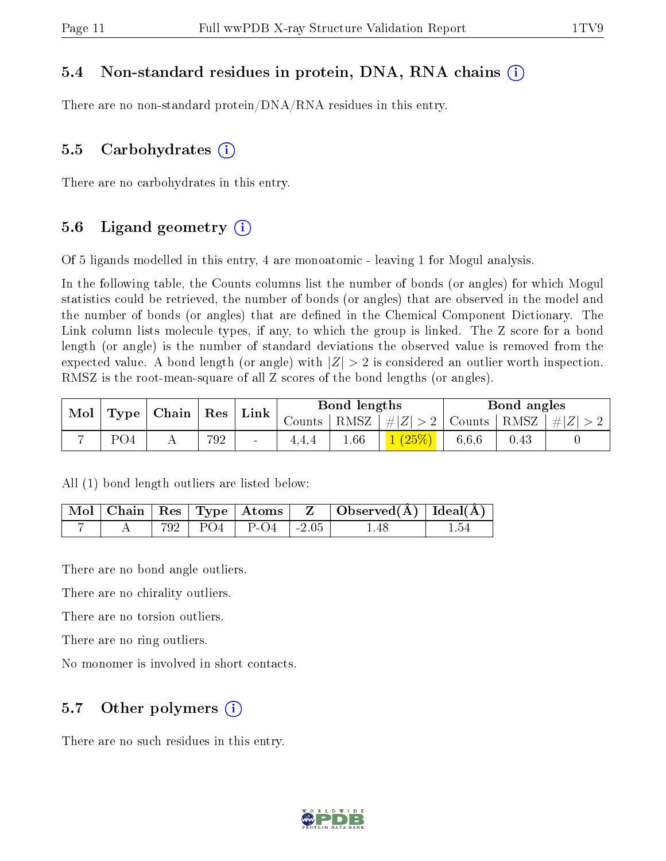#### 5.4 Non-standard residues in protein, DNA, RNA chains (i)

There are no non-standard protein/DNA/RNA residues in this entry.

#### 5.5 Carbohydrates  $(i)$

There are no carbohydrates in this entry.

#### 5.6 Ligand geometry  $(i)$

Of 5 ligands modelled in this entry, 4 are monoatomic - leaving 1 for Mogul analysis.

In the following table, the Counts columns list the number of bonds (or angles) for which Mogul statistics could be retrieved, the number of bonds (or angles) that are observed in the model and the number of bonds (or angles) that are dened in the Chemical Component Dictionary. The Link column lists molecule types, if any, to which the group is linked. The Z score for a bond length (or angle) is the number of standard deviations the observed value is removed from the expected value. A bond length (or angle) with  $|Z| > 2$  is considered an outlier worth inspection. RMSZ is the root-mean-square of all Z scores of the bond lengths (or angles).

| Mol | Type <sub>1</sub> | Chain | Res | $\mathbf{Link}_{\perp}$ | Bond lengths |      |                                   | Bond angles |      |           |
|-----|-------------------|-------|-----|-------------------------|--------------|------|-----------------------------------|-------------|------|-----------|
|     |                   |       |     |                         | Counts       | RMSZ | $\left  \#Z \right  > 2$   Counts |             | RMSZ | $\pm  Z $ |
|     | PO4               |       | 792 | $\sim$                  | 4.4.4        | 1.66 | (25%)                             | 6.6.6       | 0.43 |           |

All (1) bond length outliers are listed below:

|  |  |                          | $\vert$ Mol $\vert$ Chain $\vert$ Res $\vert$ Type $\vert$ Atoms $\vert$ Z $\vert$ Observed(A) $\vert$ Ideal(A) |  |
|--|--|--------------------------|-----------------------------------------------------------------------------------------------------------------|--|
|  |  | 792   PO4   P-O4   -2.05 | -1.48                                                                                                           |  |

There are no bond angle outliers.

There are no chirality outliers.

There are no torsion outliers.

There are no ring outliers.

No monomer is involved in short contacts.

#### 5.7 [O](https://www.wwpdb.org/validation/2017/XrayValidationReportHelp#nonstandard_residues_and_ligands)ther polymers  $(i)$

There are no such residues in this entry.

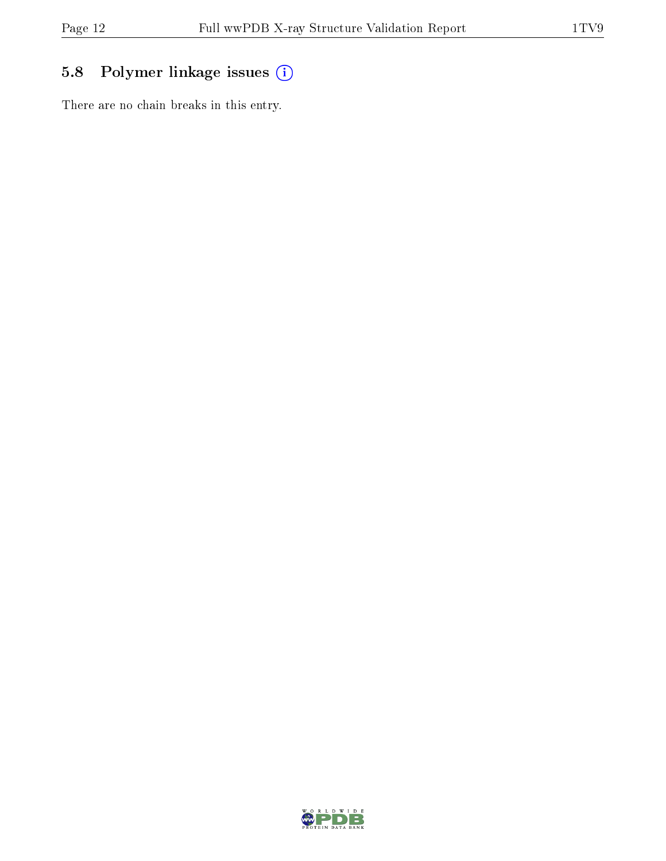## 5.8 Polymer linkage issues (i)

There are no chain breaks in this entry.

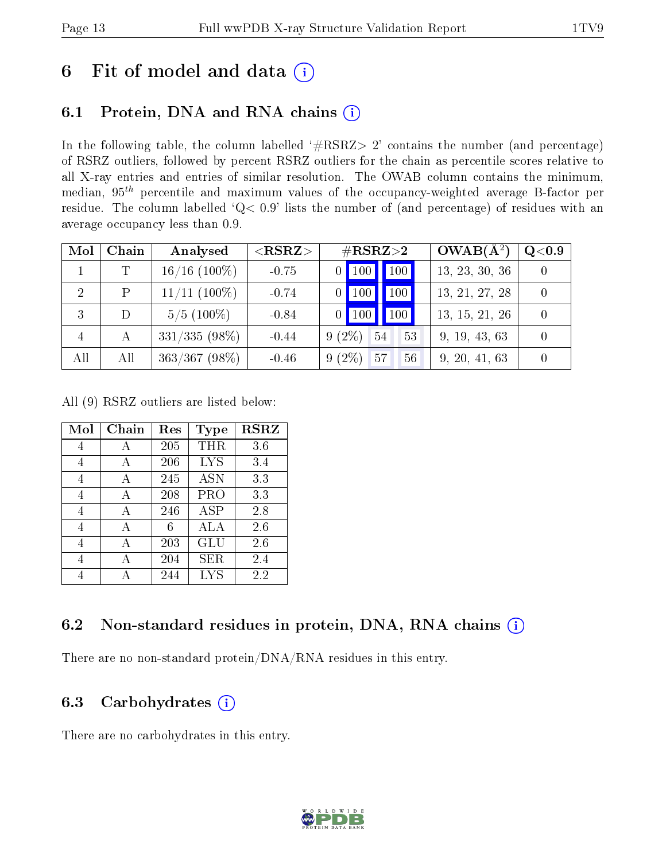## 6 Fit of model and data  $(i)$

## 6.1 Protein, DNA and RNA chains  $(i)$

In the following table, the column labelled  $#RSRZ> 2'$  contains the number (and percentage) of RSRZ outliers, followed by percent RSRZ outliers for the chain as percentile scores relative to all X-ray entries and entries of similar resolution. The OWAB column contains the minimum, median,  $95<sup>th</sup>$  percentile and maximum values of the occupancy-weighted average B-factor per residue. The column labelled ' $Q< 0.9$ ' lists the number of (and percentage) of residues with an average occupancy less than 0.9.

| Mol            | Chain | Analysed        | $<$ RSRZ $>$ | $\#\text{RSRZ}{>}2$                    | $OWAB(A^2)$    | Q <sub>0.9</sub> |
|----------------|-------|-----------------|--------------|----------------------------------------|----------------|------------------|
|                | T     | $16/16$ (100%)  | $-0.75$      | 100<br>$0$ 100                         | 13, 23, 30, 36 |                  |
| 2              | P     | $11/11$ (100%)  | $-0.74$      | 100<br>$\overline{100}$ $\overline{ }$ | 13, 21, 27, 28 |                  |
| 3              |       | $5/5(100\%)$    | $-0.84$      | 100<br>$0$   100                       | 13, 15, 21, 26 |                  |
| $\overline{4}$ | A     | $331/335(98\%)$ | $-0.44$      | $9(2\%)$<br>54<br>53                   | 9, 19, 43, 63  |                  |
| All            | All   | $363/367$ (98%) | $-0.46$      | $9(2\%)$<br>57<br>56                   | 9, 20, 41, 63  |                  |

All (9) RSRZ outliers are listed below:

| Mol | Chain | Res | Type       | <b>RSRZ</b> |
|-----|-------|-----|------------|-------------|
| 4   | А     | 205 | <b>THR</b> | 3.6         |
| 4   | А     | 206 | <b>LYS</b> | 3.4         |
| 4   | А     | 245 | <b>ASN</b> | 3.3         |
| 4   | А     | 208 | PRO        | 3.3         |
| 4   | A     | 246 | <b>ASP</b> | 2.8         |
| 4   | A     | 6   | ALA        | 2.6         |
| 4   | А     | 203 | GLU        | 2.6         |
| 4   | А     | 204 | SER        | 2.4         |
|     |       | 244 | <b>LYS</b> | 2.2         |

### 6.2 Non-standard residues in protein, DNA, RNA chains (i)

There are no non-standard protein/DNA/RNA residues in this entry.

### 6.3 Carbohydrates  $(i)$

There are no carbohydrates in this entry.